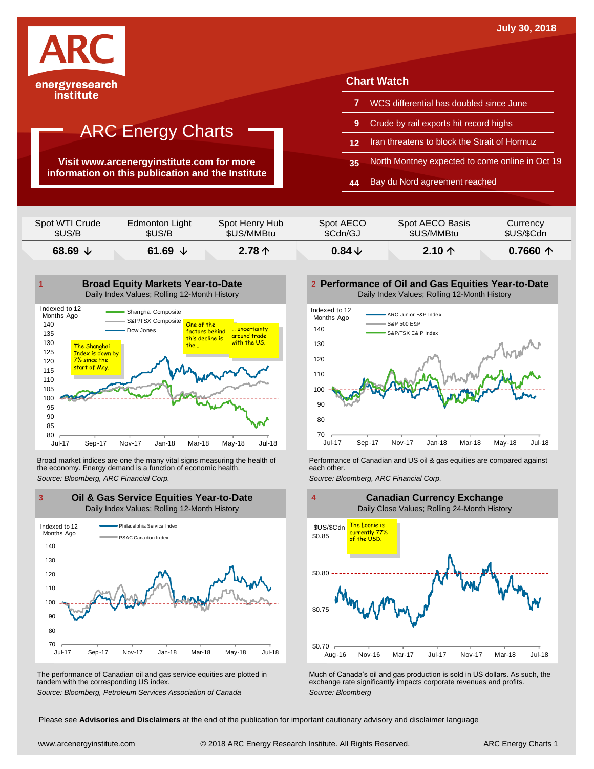

institute

## ARC Energy Charts

**Visit www.arcenergyinstitute.com for more information on this publication and the Institute**

#### **Chart Watch**

- **7** WCS differential has doubled since June
- **9** Crude by rail exports hit record highs
- **12** Iran threatens to block the Strait of Hormuz
- **35** North Montney expected to come online in Oct 19
- **44** Bay du Nord agreement reached

| \$US/B         | \$US/B         | \$US/MMBtu     | \$Cdn/GJ  | \$US/MMBtu      | \$US/\$Cdn |
|----------------|----------------|----------------|-----------|-----------------|------------|
| Spot WTI Crude | Edmonton Light | Spot Henry Hub | Spot AECO | Spot AECO Basis | Currency   |



Broad market indices are one the many vital signs measuring the health of **Performance of Canadian and US oil &** gas equities are compared against the economy. Energy demand is a function of economic health. **The exact oth** the economy. Energy demand is a function of economic health.



The performance of Canadian oil and gas service equities are plotted in tandem with the corresponding US index.

**Performance of Oil and Gas Equities Year-to-Date** Daily Index Values; Rolling 12-Month History





The performance of Canadian oil and gas service equities are plotted in Much of Canada's oil and gas production is sold in US dollars. As such, the exchange rate significantly impacts corporate revenues and profits.<br>Source

Please see **Advisories and Disclaimers** at the end of the publication for important cautionary advisory and disclaimer language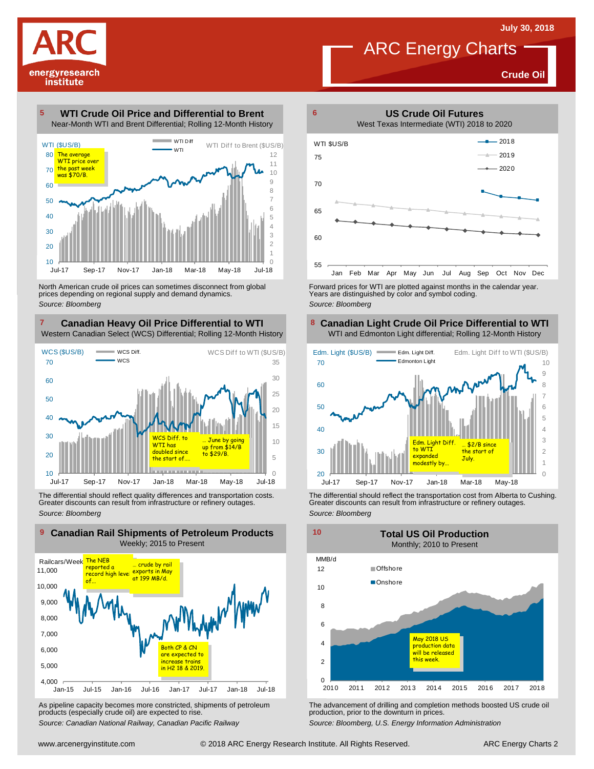**Crude Oil**

#### **WTI Crude Oil Price and Differential to Brent** Near-Month WTI and Brent Differential; Rolling 12-Month History **5**

energyresearch institute



North American crude oil prices can sometimes disconnect from global prices depending on regional supply and demand dynamics. *Source: Bloomberg*

#### **Canadian Heavy Oil Price Differential to WTI 7 8** Western Canadian Select (WCS) Differential; Rolling 12-Month History



The differential should reflect quality differences and transportation costs. Greater discounts can result from infrastructure or refinery outages. *Source: Bloomberg*



As pipeline capacity becomes more constricted, shipments of petroleum products (especially crude oil) are expected to rise.

*Source: Canadian National Railway, Canadian Pacific Railway*



Forward prices for WTI are plotted against months in the calendar year. Years are distinguished by color and symbol coding. *Source: Bloomberg*

#### **Canadian Light Crude Oil Price Differential to WTI** WTI and Edmonton Light differential; Rolling 12-Month History



The differential should reflect the transportation cost from Alberta to Cushing. Greater discounts can result from infrastructure or refinery outages. *Source: Bloomberg*



The advancement of drilling and completion methods boosted US crude oil production, prior to the downturn in prices.

*Source: Bloomberg, U.S. Energy Information Administration*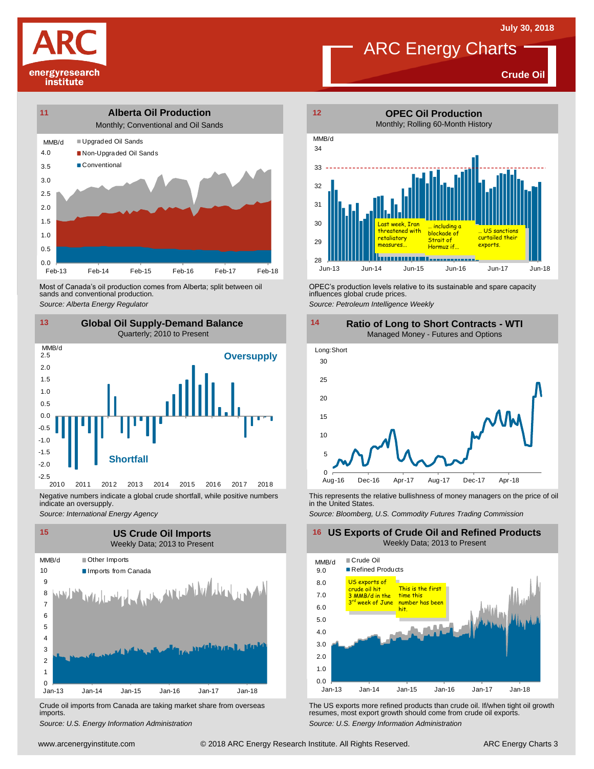



Most of Canada's oil production comes from Alberta; split between oil sands and conventional production. Most of Canada's oil production comes from Alberta; split between oil **Source:** OPEC's production levels relative to its sustainable and spare capacity<br>
Source: Alberta *Energy Regulator*<br>
Source: Petroleum Intelligence We



Negative numbers indicate a global crude shortfall, while positive numbers indicate an oversupply.

*Source: International Energy Agency*



Crude oil imports from Canada are taking market share from overseas imports.



**Crude Oil**



influences global crude prices.

*Source: Petroleum Intelligence Weekly*



This represents the relative bullishness of money managers on the price of oil in the United States.

*Source: Bloomberg, U.S. Commodity Futures Trading Commission*

#### **16 US Exports of Crude Oil and Refined Products** Weekly Data; 2013 to Present



Um-13 Jan-14 Jan-15 Jan-16 Jan-17 Jan-18<br>
Crude oil imports from Canada are taking market share from overseas<br>
imports.<br>
Source: U.S. Energy Information Administration<br>
www.arcenergyinstitute.com © 2018 ARC Energy Research Crude oil imports from Canada are taking market share from overseas The US exports more refined products than crude oil. If/when tight oil growth imports.<br>
imports.<br>
Source: U.S. Energy Information Administration exports.<br>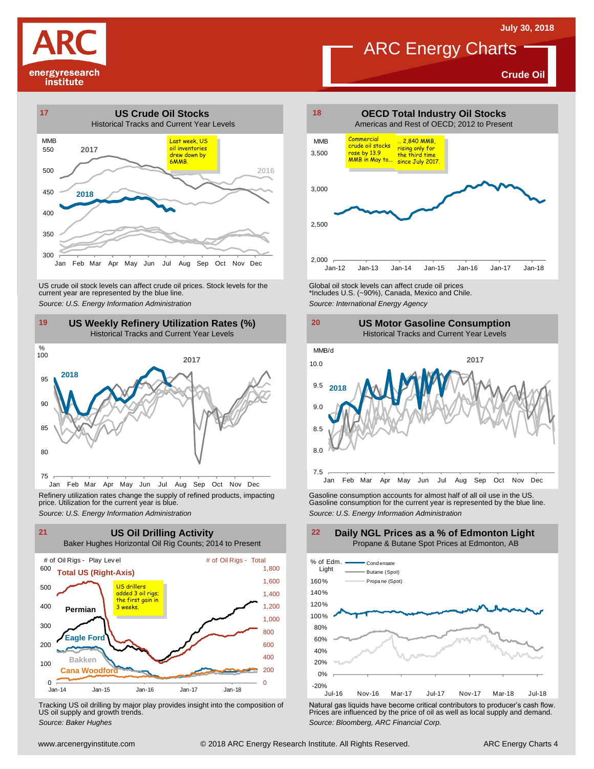**Crude Oil**





US weekly Refinery Utilization Rates (%)<br>
The Historical Tracks and Current Year Levels for the Source: U.S. Energy Information Administration<br>
19 US Weekly Refinery Utilization Rates (%)<br>
Historical Tracks and Current Yea



Refinery utilization rates change the supply of refined products, impacting price. Utilization for the current year is blue.



Tracking US oil drilling by major play provides insight into the composition of US oil supply and growth trends.



ARC Energy Charts





Refinery utilization rates change the supply of refined products, impacting<br>
price. Utilization for the current year is blue.<br>
Source: U.S. Energy Information Administration<br>
Source: U.S. Energy Information Administration<br>



Tracking US oil drilling by major play provides insight into the composition of<br>US oil supply and growth trends.<br>Source: Baker Hughes entitively and demand.<br>Source: Baker Hughes entitively and demand.<br>Source: Bloomberg, AR

#### **Daily NGL Prices as a % of Edmonton Light** Propane & Butane Spot Prices at Edmonton, AB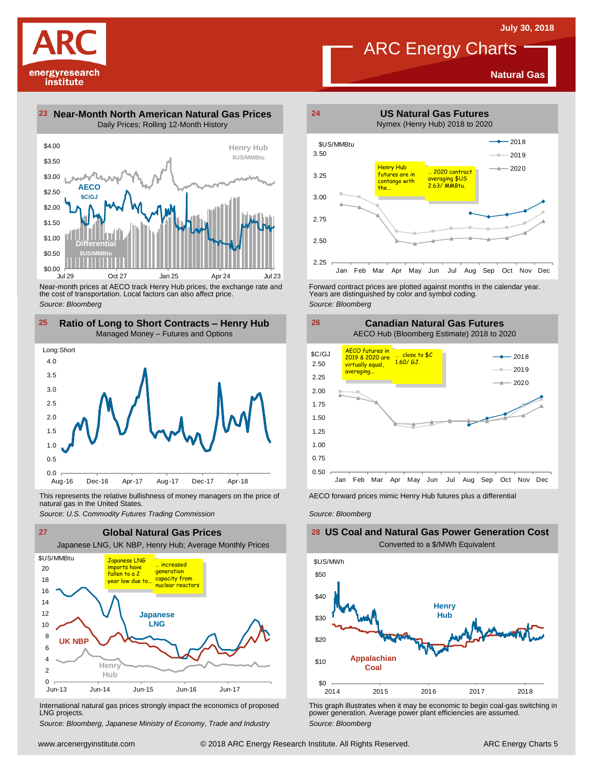**Natural Gas**

### ARC Energy Charts



**23 Near-Month North American Natural Gas Prices 24** Daily Prices; Rolling 12-Month History



Near-month prices at AECO track Henry Hub prices, the exchange rate and the cost of transportation. Local factors can also affect price. *Source: Bloomberg*



This represents the relative bullishness of money managers on the price of Facco forward prices mimic Henry Hub futures plus a differential<br>natural gas in the United States.<br>Source: U.S. Commodity Futures Trading Commissio natural gas in the United States.



International natural gas prices strongly impact the economics of proposed LNG projects.

*Source: Bloomberg, Japanese Ministry of Economy, Trade and Industry*



Forward contract prices are plotted against months in the calendar year.<br>Years are distinguished by color and symbol coding. *Source: Bloomberg*



*Source: Bloomberg*

#### **US Coal and Natural Gas Power Generation Cost** Converted to a \$/MWh Equivalent



This graph illustrates when it may be economic to begin coal-gas switching in power generation. Average power plant efficiencies are assumed. *Source: Bloomberg*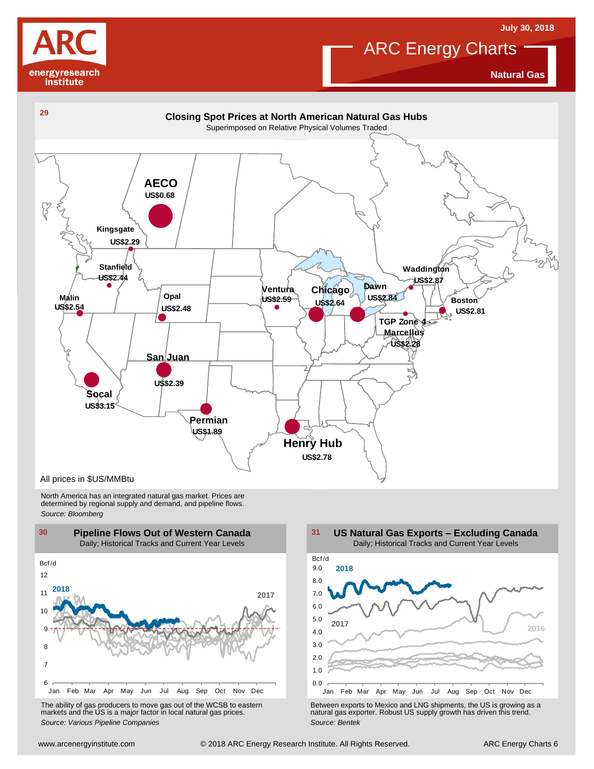



**Natural Gas**



North America has an integrated natural gas market. Prices are determined by regional supply and demand, and pipeline flows. *Source: Bloomberg*



The ability of gas producers to move gas out of the WCSB to eastern markets and the US is <sup>a</sup> major factor in local natural gas prices.



The ability of gas producers to move gas out of the WCSB to eastern<br>
markets and the US is a major factor in local natural gas prices.<br>
Source: Various Pipeline Companies<br>
Source: Bentek<br>
Source: Bentek<br>
Source: Bentek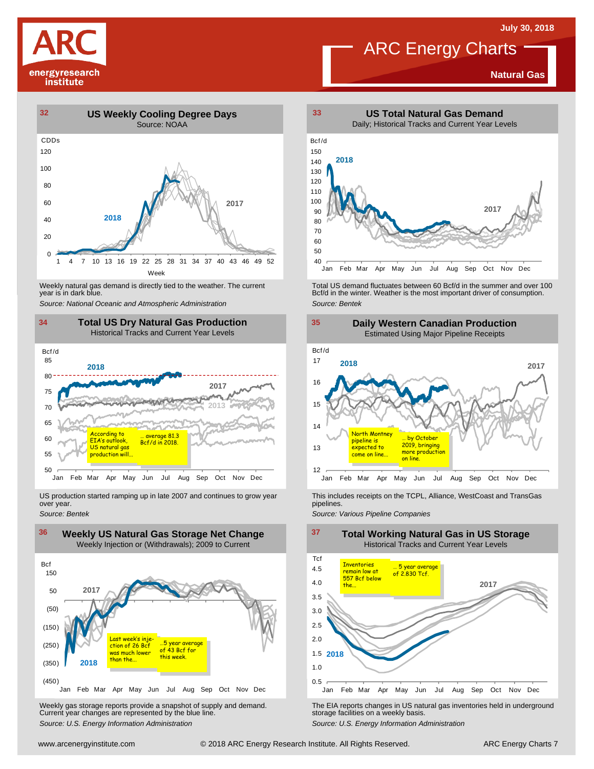

#### **Natural Gas**



Weekly natural gas demand is directly tied to the weather. The current<br>year is in dark blue.



US production started ramping up in late 2007 and continues to grow year over year. *Source: Bentek*



Weekly gas storage reports provide <sup>a</sup> snapshot of supply and demand. Current year changes are represented by the blue line. Weekly gas storage reports provide a snapshot of supply and demand.<br>
Current year changes are represented by the blue line.<br>
Source: U.S. Energy Information Administration<br>
Source: U.S. Energy Information Administration<br>
S



Weekly natural gas demand is directly tied to the weather. The current Fortal US demand fluctuates between 60 Bcf/d in the summer and over 100<br>100 Bcf/d in the winter. Weather is the most important driver of consumption.<br>1 *Source: Bentek*



This includes receipts on the TCPL, Alliance, WestCoast and TransGas pipelines.

*Source: Various Pipeline Companies*

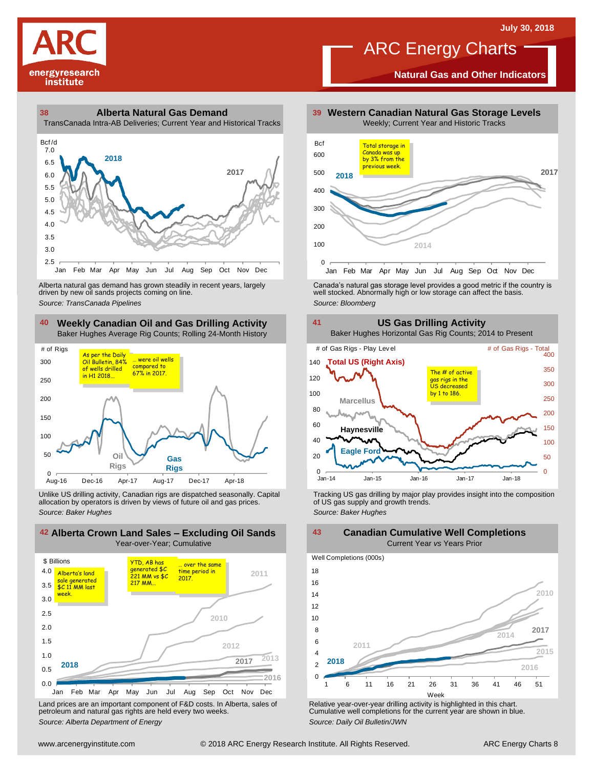

150

### ARC Energy Charts

**Natural Gas and Other Indicators**



### **38 39 Alberta Natural Gas Demand**



driven by new oil sands projects coming on line.

#### **40 41 Weekly Canadian Oil and Gas Drilling Activity** Baker Hughes Average Rig Counts; Rolling 24-Month History





Unlike US drilling activity, Canadian rigs are dispatched seasonally. Capital Tracking US gas drilling by major play provides insight into the composition<br>allocation by operators is driven by views of future oil and gas pr



Land prices are an important component of F&D costs. In Alberta, sales of petroleum and natural gas rights are held every two weeks. *Source: Alberta Department of Energy*



Alberta natural gas demand has grown steadily in recent years, largely and the Canada's natural gas storage level provides a good metric if the country is christen by new oil sands projects coming on line.<br>Ariven by new oi



**2010 2011 2014**  $\Omega$  $\overline{2}$ 4 6 8 10 12 14 16 18 1 6 11 16 21 26 31 36 41 46 51 Well Completions (000s) **2016 2015 2018 2017**

Week

Relative year-over-year drilling activity is highlighted in this chart. Cumulative well completions for the current year are shown in blue. *Source: Daily Oil Bulletin/JWN*